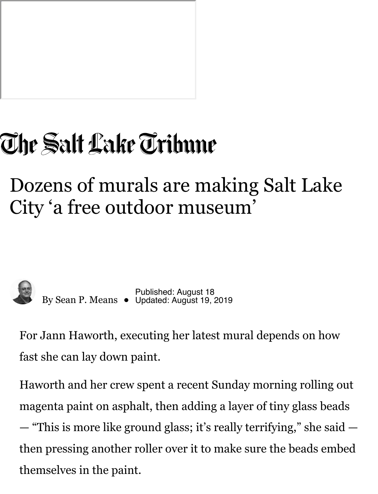

# The Salt Lake Tribune

## Dozens of murals are making Salt Lake City 'a free outdoor museum'



By Sean P. Means **·** Published: August 18 Updated: August 19, 2019

For Jann Haworth, executing her latest mural depends on how fast she can lay down paint.

Haworth and her crew spent a recent Sunday morning rolling out magenta paint on asphalt, then adding a layer of tiny glass beads — "This is more like ground glass; it's really terrifying," she said then pressing another roller over it to make sure the beads embed themselves in the paint.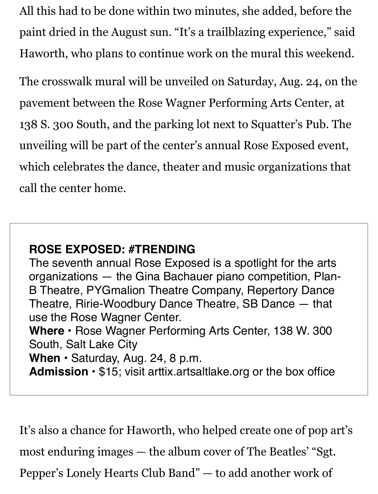All this had to be done within two minutes, she added, before the paint dried in the August sun. "It's a trailblazing experience," said Haworth, who plans to continue work on the mural this weekend.

The crosswalk mural will be unveiled on Saturday, Aug. 24, on the pavement between the Rose Wagner Performing Arts Center, at 138 S. 300 South, and the parking l[ot next to Squatter's Pub. Th](https://artsaltlake.org/production/rose-exposed-trending/)e unveiling will be part of the center's annual Rose Exposed event, which celebrates the dance, theater and music organizations that call the center home.

#### **ROSE EXPOSED: #TRENDING**

The seventh annual Rose Exposed is a spotlight for the arts organizations — the Gina Bachauer piano competition, Plan-B Theatre, PYGmalion Theatre Company, Repertory Dance Theatre, Ririe-Woodbury Dance Theatre, SB Dance — that use the Rose Wagner Center.

**Where •** Rose Wagner Performing Arts Center, 138 W. 300 South, Salt Lake City

**When •** Saturday, Aug. 24, 8 p.m.

**Admission •** \$15; visit arttix.artsaltlake.org or the box office

It's also a chance for Haworth, who helped create one of pop art's most enduring images — the album cover of The Beatles' "Sgt. Pepper's Lonely Hearts Club Band" — to add another work of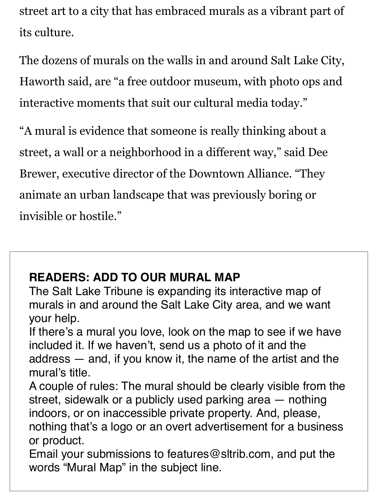street art to a city that has embraced murals as a vibrant part of its culture.

The dozens of murals on the walls in and around Salt Lake City, Haworth said, are "a free outdoor museum, with photo ops and interactive moments that suit our cultural media today."

"A mural is evidence that someone is really thinking about a street, a wall or a neighborhood in a different way," said Dee Brewer, executive director of the Downtown Alliance. "They animate an urban landscape that was previously boring or invisible or hostile."

#### **READERS: ADD TO OUR MURAL MAP**

The Salt Lake Tribune is expanding its interactive map of murals in and around the Salt Lake City area, and we want your help.

If there's a mural you love, look on the map to see if we have included it. If we haven't, send us a photo of it and the address — and, if you know it, the name of the artist and the mural's title.

A couple of rules: The mural should be clearly visible from the street, sidewalk or a publicly used parking area — nothing indoors, or on inaccessible private property. And, please,

nothing that's a logo or an overt advertisement for a business or product.

Email your submissions to features@sltrib.com, and put the words "Mural Map" in the subject line.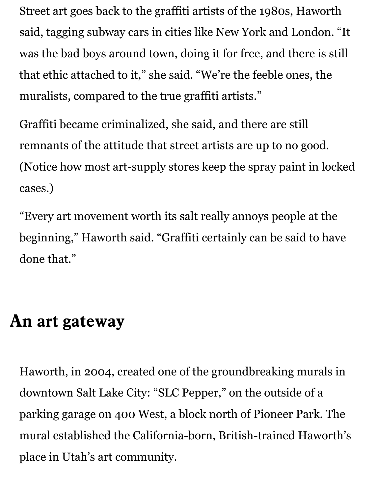Street art goes back to the graffiti artists of the 1980s, Haworth said, tagging subway cars in cities like New York and London. "It was the bad boys around town, doing it for free, and there is still that ethic attached to it," she said. "We're the feeble ones, the muralists, compared to the true graffiti artists."

Graffiti became criminalized, she said, and there are still remnants of the attitude that street artists are up to no good. (Notice how most art-supply stores keep the spray paint in locked cases.)

"Every art movement worth its salt really annoys people at the beginning," Haworth said. "Graffiti certainly can be said to have done that."

## **An art gateway**

[Haworth, in 2004, created one of the groundbreaking murals in](https://archive.sltrib.com/story.php?ref=/utah/ci_2417705) downtown Salt Lake City: "SLC Pepper," on the outside of a parking garage on 400 West, a block north of Pioneer Park. The mural established the California-born, British-trained Haworth's place in Utah's art community.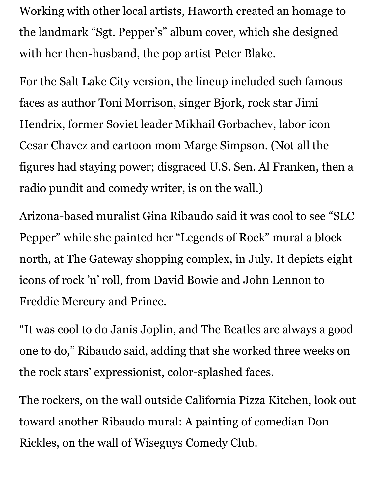Working with other local artists, Haworth created an homage to the landmark "Sgt. Pepper's" album cover, which she designed with her then-husband, the pop artist Peter Blake.

For the Salt Lake City version, the lineup included such famous faces as author Toni Morrison, singer Bjork, rock star Jimi Hendrix, former Soviet leader Mikhail Gorbachev, labor icon Cesar Chavez and cartoon mom Marge Simpson. (Not all the figures had staying power; disgraced U.S. Sen. Al Franken, then a [radio pundit and comedy writer, is on](http://www.ilovemurals.com/) the wall.)

Arizona-based muralist Gina Ribaudo said it was cool to see "SLC Pepper" while she painted her "Legends of Rock" mural a block north, at The Gateway shopping complex, in July. It depicts eight icons of rock 'n' roll, from David Bowie and John Lennon to Freddie Mercury and Prince.

"It was cool to do Janis Joplin, and The Beatles are always a good one to do," Ribaudo said, adding that she worked three weeks on the rock stars' expressionist, color-splashed faces.

The rockers, on the wall outside California Pizza Kitchen, look out toward another Ribaudo mural: A painting of comedian Don Rickles, on the wall of Wiseguys Comedy Club.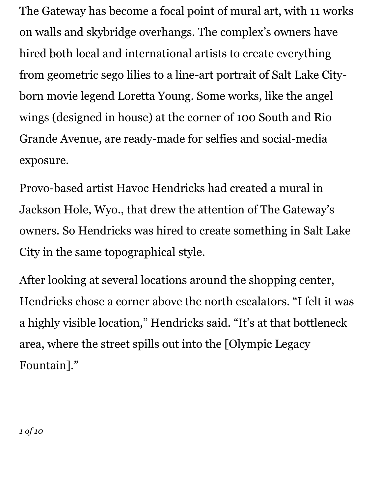The Gateway has become a focal point of mural art, with 11 works on walls and skybridge overhangs. The complex's owners have hired both local and international artists to create everything from geometric sego lilies to a line-art portrait of Salt Lake Cityborn movie legend Loretta Young. Some works, like the angel wings (designed in house) at the corner of 100 South and Rio Grande Avenue, are ready-made for selfies and social-media [exposure.](http://www.havochendricks.com/)

Provo-based artist Havoc Hendricks had created a mural in Jackson Hole, Wyo., that drew the attention of The Gateway's owners. So Hendricks was hired to create something in Salt Lake City in the same topographical style.

After looking at several locations around the shopping center, Hendricks chose a corner above the north escalators. "I felt it was a highly visible location," Hendricks said. "It's at that bottleneck area, where the street spills out into the [Olympic Legacy Fountain]."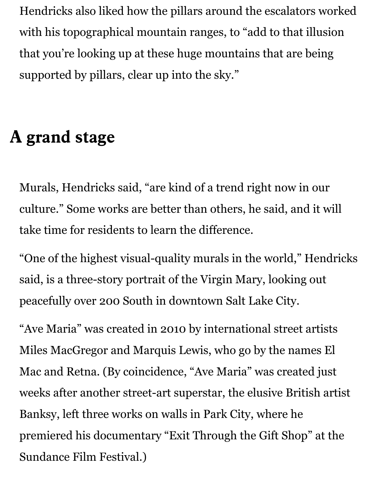Hendricks also liked how the pillars around the escalators worked with his topographical mountain ranges, to "add to that illusion that you're looking up at these huge mountains that are being supported by pillars, clear up into the sky."

#### **A grand stage**

Murals, Hendricks said, "are kind of a trend right now in our culture." Some works are better than others, he said, and it will take time for residents to learn the difference.

"One of the highest visual-quality murals in the world," Hendricks said, is a three-story portrait of the Virgin Mary, looking out peacefully o[ver 200 South in dow](https://archive.sltrib.com/story.php?ref=/faith/ci_14463976)ntown Salt Lake City.

"Ave Maria" was created in 2010 by international street artists Miles MacGregor and Marquis Lewis, who go by the names El Mac and Retna. (By coincidence, "Ave Maria" was created just weeks a[fter another street-art superstar, the e](https://archive.sltrib.com/story.php?ref=/ci_14232591)lusive British artist Banksy, left three works on walls in Park City, where he premiered his documentary "Exit Through the Gift Shop" at the Sundance Film Festival.)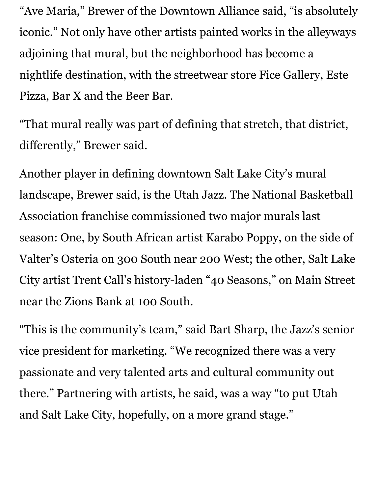"Ave Maria," Brewer of the Downtown Alliance said, "is absolutely iconic." Not only have other artists painted works in the alleyways adjoining that mural, but the neighborhood has become a nightlife destination, with the streetwear store Fice Gallery, Este Pizza, Bar X and the Beer Bar.

"That mural really was part of defining that stretch, that district, differently," Brewer said.

Another player in defining do[wntown Sa](https://www.nba.com/jazz/)lt Lake City's mural landscape, Brewer said, is the Utah Jazz. The National Basketball Association franchise commissioned two major murals last season: One, by South African artist Karabo Poppy, on the side of Valter's O[steria on 30](http://trentcall.com/)0 South near 200 West; the other, Salt Lake City artist Trent Call's history-laden "40 Seasons," on Main Street near the Zions Bank at 100 South.

"This is the community's team," said Bart Sharp, the Jazz's senior vice president for marketing. "We recognized there was a very passionate and very talented arts and cultural community out there." Partnering with artists, he said, was a way "to put Utah and Salt Lake City, hopefully, on a more grand stage."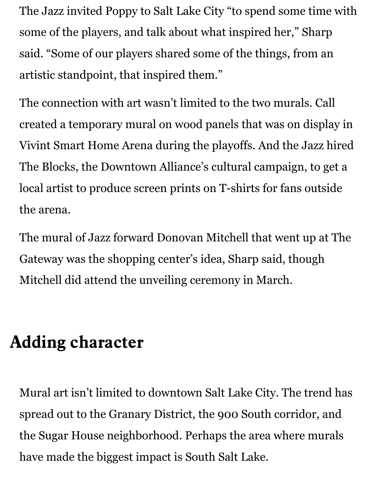The Jazz invited Poppy to Salt Lake City "to spend some time with some of the players, and talk about what inspired her," Sharp said. "Some of our players shared some of the things, from an artistic standpoint, that inspired them."

The connection with art wasn't limited to the two murals. Call created a temporary mural on wood panels that was on display in Vivint Smart Home Arena during the playoffs. And the Jazz hired The Blocks, the Downtown Alliance's cultural campaign, to get a local artist to produce screen prints on T-shirts for fans outside the arena.

The mural of Jazz forward Donovan Mitchell that went up at The Gateway was the shopping center's idea, Sharp said, though Mitchell did attend the unveiling ceremony in March.

## **Adding character**

Mural art isn't limited to downtown Salt Lake City. The trend has spread out to the Granary District, the 900 South corridor, and the Sugar House neighborhood. Perhaps the area where murals have made the biggest impact is South Salt Lake.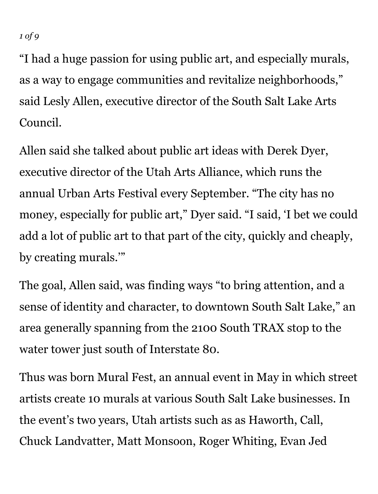#### *1 of 9*

"I had a huge passion for using public art, and especially murals, as a way to engage communities and revitalize neighborhoods," said Lesly Allen, executive director of the South Salt Lake Arts Council.

Allen said she talked about public art ideas with Derek Dyer, executi[ve director of the Ut](http://utaharts.org/urban-arts-fest/)ah Arts Alliance, which runs the annual Urban Arts Festival every September. "The city has no money, especially for public art," Dyer said. "I said, 'I bet we could add a lot of public art to that part of the city, quickly and cheaply, by creating murals.'"

The goal, Allen said, was finding ways "to bring attention, and a sense of identity and character, to downtown South Salt Lake," an area generally spanning from the 2100 South TRAX stop to the water tower ju[st south of I](https://www.sslarts.org/copy-of-home-2)nterstate 80.

Thus was born Mural Fest, an annual event in May in which street artists create 10 murals at various South Salt Lake businesses. In the event's two years, Utah artists such as as Haworth, Call, Chuck Landvatter, Matt Monsoon, Roger Whiting, Evan Jed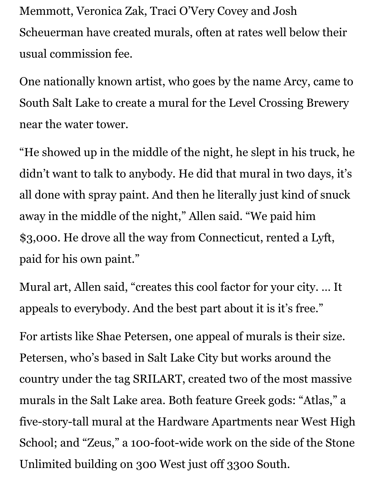Memmott, Veronica Zak, Traci O'Very Covey and Josh Scheuerman have created murals, often at rates well below their usual commission fee.

One nationally known artist, who goes by the name Arcy, came to South Salt Lake to create a mural for the Level Crossing Brewery near the water tower.

"He showed up in the middle of the night, he slept in his truck, he didn't want to talk to anybody. He did that mural in two days, it's all done with spray paint. And then he literally just kind of snuck away in the middle of the night," Allen said. "We paid him \$3,000. He drove all the way from Connecticut, rented a Lyft, paid for his own paint."

Mural art, Allen said, "creates this cool factor for your city. … It appeals to everybody. And the best part about it is it's free."

For artists like Shae Petersen, one appeal of murals is their size. Peterse[n, who's based in Salt La](https://www.srilart.com/)ke City but works around the country under the tag SRILART, created two of the most massive murals in the Salt Lake area. Both feature Greek gods: "Atlas," a five-story-tall mural at the Hardware Apartments near West High School; and "Zeus," a 100-foot-wide work on the side of the Stone Unlimited building on 300 West just off 3300 South.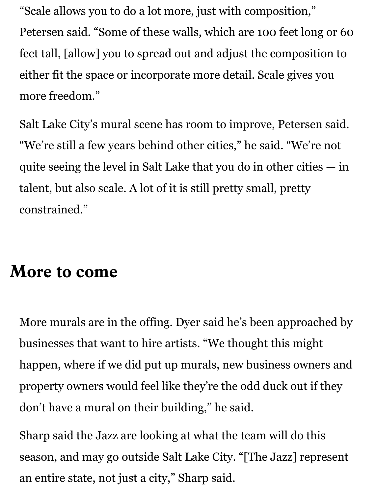"Scale allows you to do a lot more, just with composition," Petersen said. "Some of these walls, which are 100 feet long or 60 feet tall, [allow] you to spread out and adjust the composition to either fit the space or incorporate more detail. Scale gives you more freedom."

Salt Lake City's mural scene has room to improve, Petersen said. "We're still a few years behind other cities," he said. "We're not quite seeing the level in Salt Lake that you do in other cities — in talent, but also scale. A lot of it is still pretty small, pretty constrained."

## **More to come**

More murals are in the offing. Dyer said he's been approached by businesses that want to hire artists. "We thought this might happen, where if we did put up murals, new business owners and property owners would feel like they're the odd duck out if they don't have a mural on their building," he said.

Sharp said the Jazz are looking at what the team will do this season, and may go outside Salt Lake City. "[The Jazz] represent an entire state, not just a city," Sharp said.